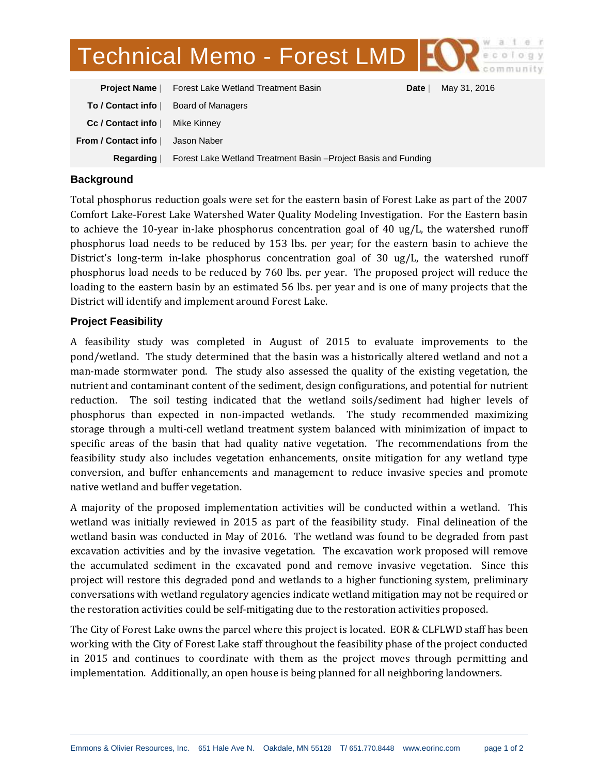# Technical Memo - Forest LMD | 10

| <b>Project Name</b>                 | Forest Lake Wetland Treatment Basin                             | Date | May 31, 2016 |
|-------------------------------------|-----------------------------------------------------------------|------|--------------|
| To / Contact info                   | Board of Managers                                               |      |              |
| Cc / Contact info                   | Mike Kinney                                                     |      |              |
| From / Contact info $\mathbin\Vert$ | Jason Naber                                                     |      |              |
| Regarding                           | Forest Lake Wetland Treatment Basin – Project Basis and Funding |      |              |

## **Background**

Total phosphorus reduction goals were set for the eastern basin of Forest Lake as part of the 2007 Comfort Lake-Forest Lake Watershed Water Quality Modeling Investigation. For the Eastern basin to achieve the 10-year in-lake phosphorus concentration goal of 40 ug/L, the watershed runoff phosphorus load needs to be reduced by 153 lbs. per year; for the eastern basin to achieve the District's long-term in-lake phosphorus concentration goal of 30 ug/L, the watershed runoff phosphorus load needs to be reduced by 760 lbs. per year. The proposed project will reduce the loading to the eastern basin by an estimated 56 lbs. per year and is one of many projects that the District will identify and implement around Forest Lake.

## **Project Feasibility**

A feasibility study was completed in August of 2015 to evaluate improvements to the pond/wetland. The study determined that the basin was a historically altered wetland and not a man-made stormwater pond. The study also assessed the quality of the existing vegetation, the nutrient and contaminant content of the sediment, design configurations, and potential for nutrient reduction. The soil testing indicated that the wetland soils/sediment had higher levels of phosphorus than expected in non-impacted wetlands. The study recommended maximizing storage through a multi-cell wetland treatment system balanced with minimization of impact to specific areas of the basin that had quality native vegetation. The recommendations from the feasibility study also includes vegetation enhancements, onsite mitigation for any wetland type conversion, and buffer enhancements and management to reduce invasive species and promote native wetland and buffer vegetation.

A majority of the proposed implementation activities will be conducted within a wetland. This wetland was initially reviewed in 2015 as part of the feasibility study. Final delineation of the wetland basin was conducted in May of 2016. The wetland was found to be degraded from past excavation activities and by the invasive vegetation. The excavation work proposed will remove the accumulated sediment in the excavated pond and remove invasive vegetation. Since this project will restore this degraded pond and wetlands to a higher functioning system, preliminary conversations with wetland regulatory agencies indicate wetland mitigation may not be required or the restoration activities could be self-mitigating due to the restoration activities proposed.

The City of Forest Lake owns the parcel where this project is located. EOR & CLFLWD staff has been working with the City of Forest Lake staff throughout the feasibility phase of the project conducted in 2015 and continues to coordinate with them as the project moves through permitting and implementation. Additionally, an open house is being planned for all neighboring landowners.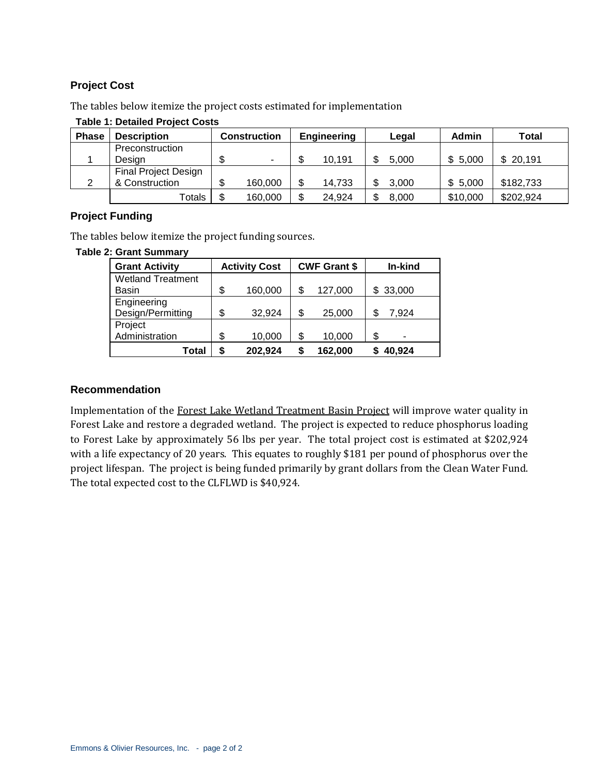## **Project Cost**

The tables below itemize the project costs estimated for implementation

| <b>Phase</b> | <b>Description</b>          | Construction |    | <b>Engineering</b> | Legal | Admin    | Total     |
|--------------|-----------------------------|--------------|----|--------------------|-------|----------|-----------|
|              | Preconstruction             |              |    |                    |       |          |           |
|              | Design                      | ۰.           | ۰D | 10,191             | 5.000 | \$5,000  | \$20,191  |
|              | <b>Final Project Design</b> |              |    |                    |       |          |           |
|              | & Construction              | 160,000      | \$ | 14,733             | 3.000 | \$5,000  | \$182,733 |
|              | Totals                      | 160,000      | \$ | 24,924             | 8.000 | \$10,000 | \$202,924 |

#### **Table 1: Detailed Project Costs**

# **Project Funding**

The tables below itemize the project funding sources.

#### **Table 2: Grant Summary**

| <b>Grant Activity</b>    |    | <b>CWF Grant \$</b><br><b>Activity Cost</b> |    |         | In-kind    |
|--------------------------|----|---------------------------------------------|----|---------|------------|
| <b>Wetland Treatment</b> |    |                                             |    |         |            |
| Basin                    | \$ | 160,000                                     | S  | 127,000 | \$33,000   |
| Engineering              |    |                                             |    |         |            |
| Design/Permitting        | \$ | 32,924                                      | \$ | 25,000  | 7,924<br>S |
| Project                  |    |                                             |    |         |            |
| Administration           | \$ | 10,000                                      | \$ | 10,000  | \$<br>-    |
| Total                    | S  | 202,924                                     |    | 162,000 | 40,924     |

### **Recommendation**

Implementation of the Forest Lake Wetland Treatment Basin Project will improve water quality in Forest Lake and restore a degraded wetland. The project is expected to reduce phosphorus loading to Forest Lake by approximately 56 lbs per year. The total project cost is estimated at \$202,924 with a life expectancy of 20 years. This equates to roughly \$181 per pound of phosphorus over the project lifespan. The project is being funded primarily by grant dollars from the Clean Water Fund. The total expected cost to the CLFLWD is \$40,924.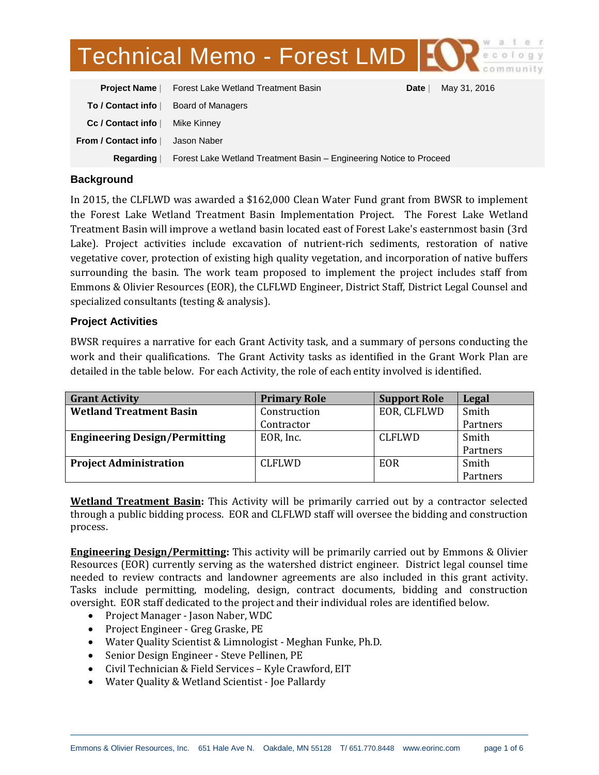# Technical Memo - Forest LMD | 107

| <b>Project Name</b> | Forest Lake Wetland Treatment Basin                                 | Date | May 31, 2016 |
|---------------------|---------------------------------------------------------------------|------|--------------|
| To / Contact info   | Board of Managers                                                   |      |              |
| Cc / Contact info   | Mike Kinney                                                         |      |              |
| From / Contact info | Jason Naber                                                         |      |              |
| Regarding           | Forest Lake Wetland Treatment Basin – Engineering Notice to Proceed |      |              |

## **Background**

In 2015, the CLFLWD was awarded a \$162,000 Clean Water Fund grant from BWSR to implement the Forest Lake Wetland Treatment Basin Implementation Project. The Forest Lake Wetland Treatment Basin will improve a wetland basin located east of Forest Lake's easternmost basin (3rd Lake). Project activities include excavation of nutrient-rich sediments, restoration of native vegetative cover, protection of existing high quality vegetation, and incorporation of native buffers surrounding the basin. The work team proposed to implement the project includes staff from Emmons & Olivier Resources (EOR), the CLFLWD Engineer, District Staff, District Legal Counsel and specialized consultants (testing & analysis).

## **Project Activities**

BWSR requires a narrative for each Grant Activity task, and a summary of persons conducting the work and their qualifications. The Grant Activity tasks as identified in the Grant Work Plan are detailed in the table below. For each Activity, the role of each entity involved is identified.

| <b>Grant Activity</b>                | <b>Primary Role</b> | <b>Support Role</b> | Legal    |
|--------------------------------------|---------------------|---------------------|----------|
| <b>Wetland Treatment Basin</b>       | Construction        | EOR, CLFLWD         | Smith    |
|                                      | Contractor          |                     | Partners |
| <b>Engineering Design/Permitting</b> | EOR, Inc.           | <b>CLFLWD</b>       | Smith    |
|                                      |                     |                     | Partners |
| <b>Project Administration</b>        | <b>CLFLWD</b>       | EOR                 | Smith    |
|                                      |                     |                     | Partners |

**Wetland Treatment Basin:** This Activity will be primarily carried out by a contractor selected through a public bidding process. EOR and CLFLWD staff will oversee the bidding and construction process.

**Engineering Design/Permitting:** This activity will be primarily carried out by Emmons & Olivier Resources (EOR) currently serving as the watershed district engineer. District legal counsel time needed to review contracts and landowner agreements are also included in this grant activity. Tasks include permitting, modeling, design, contract documents, bidding and construction oversight. EOR staff dedicated to the project and their individual roles are identified below.

- Project Manager Jason Naber, WDC
- Project Engineer Greg Graske, PE
- Water Quality Scientist & Limnologist Meghan Funke, Ph.D.
- Senior Design Engineer Steve Pellinen, PE
- Civil Technician & Field Services Kyle Crawford, EIT
- Water Quality & Wetland Scientist Joe Pallardy

 $\overline{a}$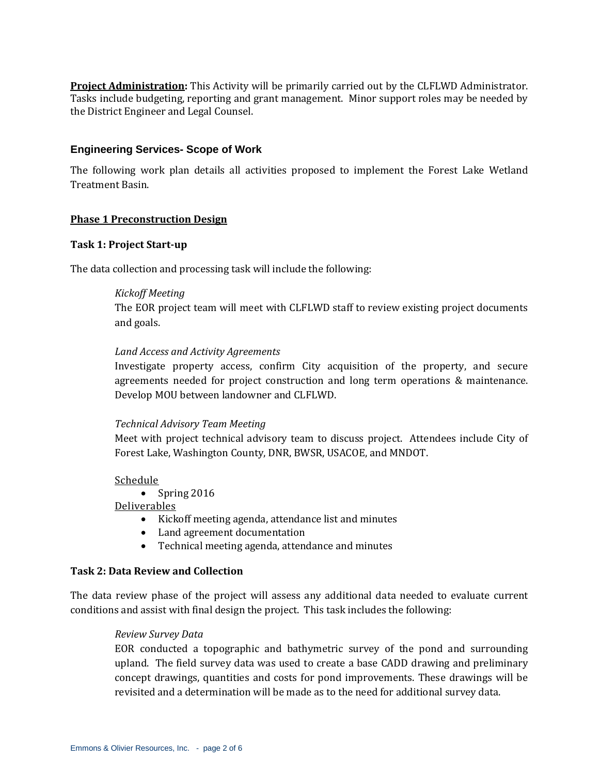**Project Administration:** This Activity will be primarily carried out by the CLFLWD Administrator. Tasks include budgeting, reporting and grant management. Minor support roles may be needed by the District Engineer and Legal Counsel.

### **Engineering Services- Scope of Work**

The following work plan details all activities proposed to implement the Forest Lake Wetland Treatment Basin.

#### **Phase 1 Preconstruction Design**

#### **Task 1: Project Start-up**

The data collection and processing task will include the following:

## *Kickoff Meeting*

The EOR project team will meet with CLFLWD staff to review existing project documents and goals.

## *Land Access and Activity Agreements*

Investigate property access, confirm City acquisition of the property, and secure agreements needed for project construction and long term operations & maintenance. Develop MOU between landowner and CLFLWD.

#### *Technical Advisory Team Meeting*

Meet with project technical advisory team to discuss project. Attendees include City of Forest Lake, Washington County, DNR, BWSR, USACOE, and MNDOT.

#### Schedule

• Spring  $2016$ 

## Deliverables

- Kickoff meeting agenda, attendance list and minutes
- Land agreement documentation
- Technical meeting agenda, attendance and minutes

### **Task 2: Data Review and Collection**

The data review phase of the project will assess any additional data needed to evaluate current conditions and assist with final design the project. This task includes the following:

#### *Review Survey Data*

EOR conducted a topographic and bathymetric survey of the pond and surrounding upland. The field survey data was used to create a base CADD drawing and preliminary concept drawings, quantities and costs for pond improvements. These drawings will be revisited and a determination will be made as to the need for additional survey data.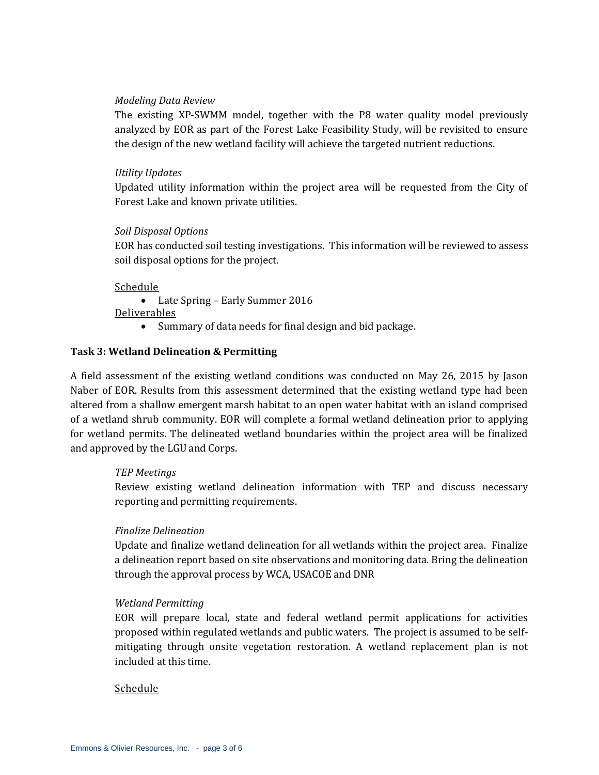### *Modeling Data Review*

The existing XP-SWMM model, together with the P8 water quality model previously analyzed by EOR as part of the Forest Lake Feasibility Study, will be revisited to ensure the design of the new wetland facility will achieve the targeted nutrient reductions.

## *Utility Updates*

Updated utility information within the project area will be requested from the City of Forest Lake and known private utilities.

## *Soil Disposal Options*

EOR has conducted soil testing investigations. This information will be reviewed to assess soil disposal options for the project.

## Schedule

Late Spring – Early Summer 2016

Deliverables

Summary of data needs for final design and bid package.

## **Task 3: Wetland Delineation & Permitting**

A field assessment of the existing wetland conditions was conducted on May 26, 2015 by Jason Naber of EOR. Results from this assessment determined that the existing wetland type had been altered from a shallow emergent marsh habitat to an open water habitat with an island comprised of a wetland shrub community. EOR will complete a formal wetland delineation prior to applying for wetland permits. The delineated wetland boundaries within the project area will be finalized and approved by the LGU and Corps.

#### *TEP Meetings*

Review existing wetland delineation information with TEP and discuss necessary reporting and permitting requirements.

## *Finalize Delineation*

Update and finalize wetland delineation for all wetlands within the project area. Finalize a delineation report based on site observations and monitoring data. Bring the delineation through the approval process by WCA, USACOE and DNR

#### *Wetland Permitting*

EOR will prepare local, state and federal wetland permit applications for activities proposed within regulated wetlands and public waters. The project is assumed to be selfmitigating through onsite vegetation restoration. A wetland replacement plan is not included at this time.

## Schedule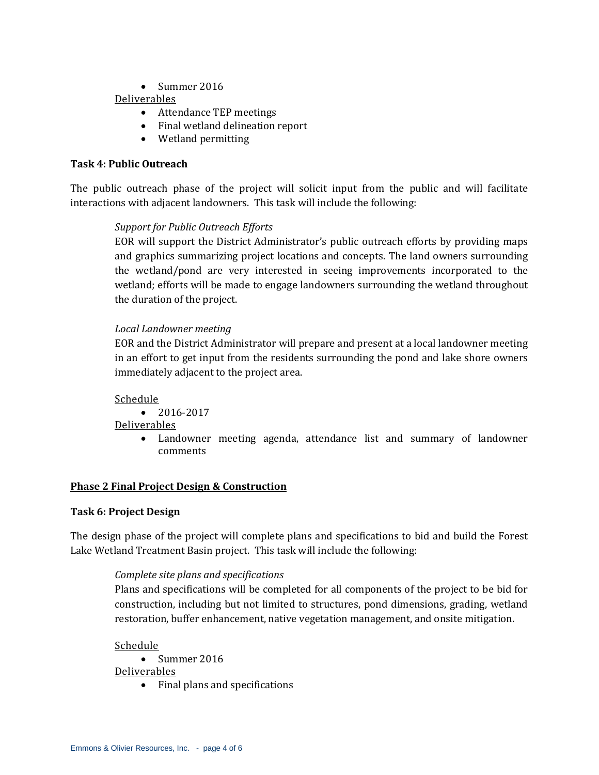• Summer 2016

## Deliverables

- Attendance TEP meetings
- Final wetland delineation report
- Wetland permitting

# **Task 4: Public Outreach**

The public outreach phase of the project will solicit input from the public and will facilitate interactions with adjacent landowners. This task will include the following:

# *Support for Public Outreach Efforts*

EOR will support the District Administrator's public outreach efforts by providing maps and graphics summarizing project locations and concepts. The land owners surrounding the wetland/pond are very interested in seeing improvements incorporated to the wetland; efforts will be made to engage landowners surrounding the wetland throughout the duration of the project.

# *Local Landowner meeting*

EOR and the District Administrator will prepare and present at a local landowner meeting in an effort to get input from the residents surrounding the pond and lake shore owners immediately adjacent to the project area.

# Schedule

 $\bullet$  2016-2017

# Deliverables

 Landowner meeting agenda, attendance list and summary of landowner comments

# **Phase 2 Final Project Design & Construction**

# **Task 6: Project Design**

The design phase of the project will complete plans and specifications to bid and build the Forest Lake Wetland Treatment Basin project. This task will include the following:

# *Complete site plans and specifications*

Plans and specifications will be completed for all components of the project to be bid for construction, including but not limited to structures, pond dimensions, grading, wetland restoration, buffer enhancement, native vegetation management, and onsite mitigation.

## Schedule

 $\bullet$  Summer 2016

Deliverables

• Final plans and specifications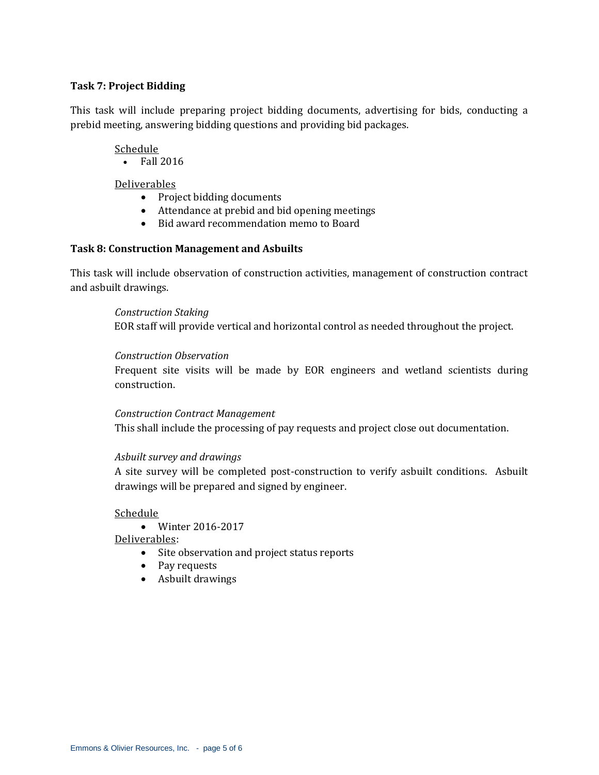## **Task 7: Project Bidding**

This task will include preparing project bidding documents, advertising for bids, conducting a prebid meeting, answering bidding questions and providing bid packages.

#### Schedule

• Fall 2016

## Deliverables

- Project bidding documents
- Attendance at prebid and bid opening meetings
- Bid award recommendation memo to Board

## **Task 8: Construction Management and Asbuilts**

This task will include observation of construction activities, management of construction contract and asbuilt drawings.

#### *Construction Staking*

EOR staff will provide vertical and horizontal control as needed throughout the project.

## *Construction Observation*

Frequent site visits will be made by EOR engineers and wetland scientists during construction.

#### *Construction Contract Management*

This shall include the processing of pay requests and project close out documentation.

#### *Asbuilt survey and drawings*

A site survey will be completed post-construction to verify asbuilt conditions. Asbuilt drawings will be prepared and signed by engineer.

#### Schedule

Winter 2016-2017

Deliverables:

- Site observation and project status reports
- Pay requests
- Asbuilt drawings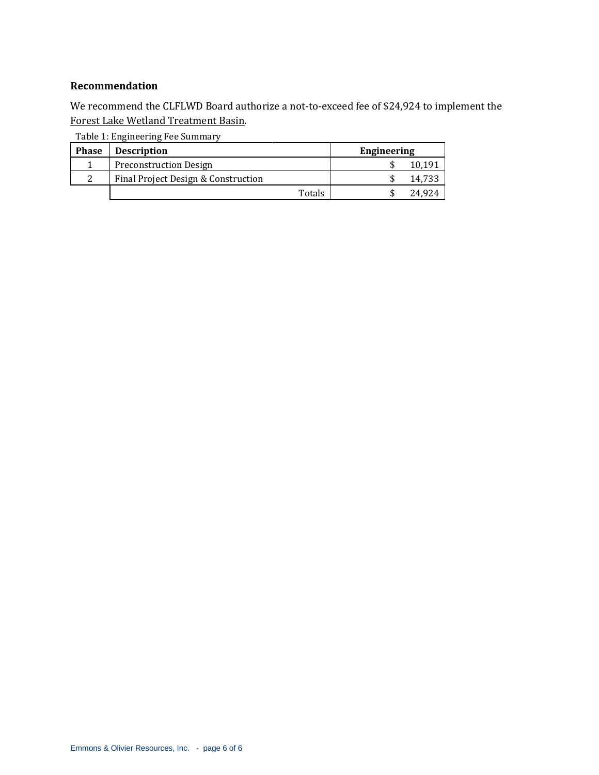#### **Recommendation**

We recommend the CLFLWD Board authorize a not-to-exceed fee of \$24,924 to implement the Forest Lake Wetland Treatment Basin.

| <b>Phase</b> | <b>Description</b>                  | Engineering |
|--------------|-------------------------------------|-------------|
|              | <b>Preconstruction Design</b>       | 10,191      |
|              | Final Project Design & Construction | 14.733      |
|              | Totals                              | 24.924      |

Table 1: Engineering Fee Summary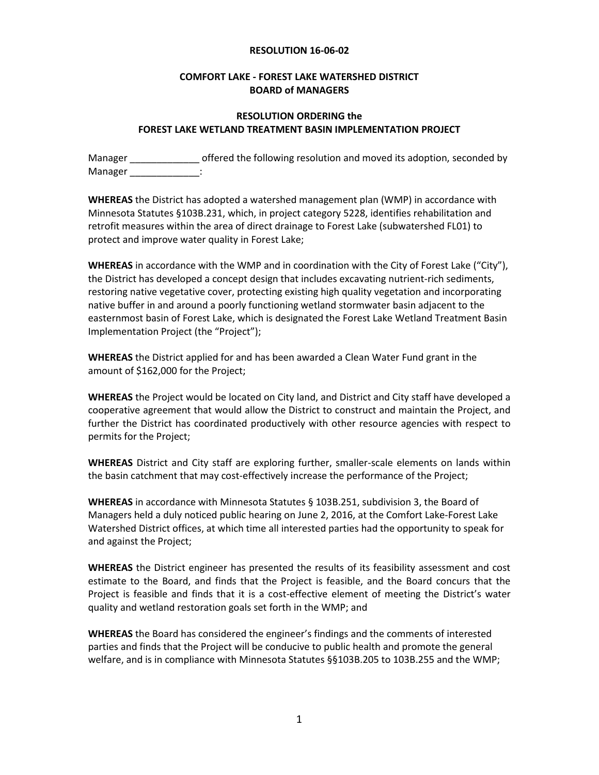#### **RESOLUTION 16-06-02**

### **COMFORT LAKE - FOREST LAKE WATERSHED DISTRICT BOARD of MANAGERS**

## **RESOLUTION ORDERING the FOREST LAKE WETLAND TREATMENT BASIN IMPLEMENTATION PROJECT**

Manager \_\_\_\_\_\_\_\_\_\_\_\_\_\_\_\_ offered the following resolution and moved its adoption, seconded by Manager \_\_\_\_\_\_\_\_\_\_\_\_\_

**WHEREAS** the District has adopted a watershed management plan (WMP) in accordance with Minnesota Statutes §103B.231, which, in project category 5228, identifies rehabilitation and retrofit measures within the area of direct drainage to Forest Lake (subwatershed FL01) to protect and improve water quality in Forest Lake;

**WHEREAS** in accordance with the WMP and in coordination with the City of Forest Lake ("City"), the District has developed a concept design that includes excavating nutrient-rich sediments, restoring native vegetative cover, protecting existing high quality vegetation and incorporating native buffer in and around a poorly functioning wetland stormwater basin adjacent to the easternmost basin of Forest Lake, which is designated the Forest Lake Wetland Treatment Basin Implementation Project (the "Project");

**WHEREAS** the District applied for and has been awarded a Clean Water Fund grant in the amount of \$162,000 for the Project;

**WHEREAS** the Project would be located on City land, and District and City staff have developed a cooperative agreement that would allow the District to construct and maintain the Project, and further the District has coordinated productively with other resource agencies with respect to permits for the Project;

**WHEREAS** District and City staff are exploring further, smaller-scale elements on lands within the basin catchment that may cost-effectively increase the performance of the Project;

**WHEREAS** in accordance with Minnesota Statutes § 103B.251, subdivision 3, the Board of Managers held a duly noticed public hearing on June 2, 2016, at the Comfort Lake-Forest Lake Watershed District offices, at which time all interested parties had the opportunity to speak for and against the Project;

**WHEREAS** the District engineer has presented the results of its feasibility assessment and cost estimate to the Board, and finds that the Project is feasible, and the Board concurs that the Project is feasible and finds that it is a cost-effective element of meeting the District's water quality and wetland restoration goals set forth in the WMP; and

**WHEREAS** the Board has considered the engineer's findings and the comments of interested parties and finds that the Project will be conducive to public health and promote the general welfare, and is in compliance with Minnesota Statutes §§103B.205 to 103B.255 and the WMP;